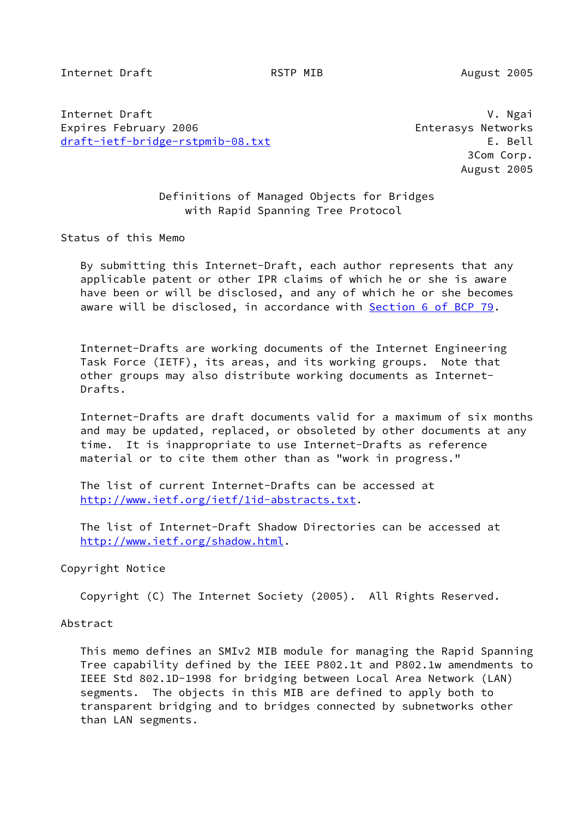Internet Draft **RSTP MIB** August 2005

Internet Draft V. Ngai Expires February 2006 Enterasys Networks [draft-ietf-bridge-rstpmib-08.txt](https://datatracker.ietf.org/doc/pdf/draft-ietf-bridge-rstpmib-08.txt) E. Bell

 3Com Corp. August 2005

 Definitions of Managed Objects for Bridges with Rapid Spanning Tree Protocol

Status of this Memo

 By submitting this Internet-Draft, each author represents that any applicable patent or other IPR claims of which he or she is aware have been or will be disclosed, and any of which he or she becomes aware will be disclosed, in accordance with Section [6 of BCP 79.](https://datatracker.ietf.org/doc/pdf/bcp79#section-6)

 Internet-Drafts are working documents of the Internet Engineering Task Force (IETF), its areas, and its working groups. Note that other groups may also distribute working documents as Internet- Drafts.

 Internet-Drafts are draft documents valid for a maximum of six months and may be updated, replaced, or obsoleted by other documents at any time. It is inappropriate to use Internet-Drafts as reference material or to cite them other than as "work in progress."

 The list of current Internet-Drafts can be accessed at <http://www.ietf.org/ietf/1id-abstracts.txt>.

 The list of Internet-Draft Shadow Directories can be accessed at <http://www.ietf.org/shadow.html>.

Copyright Notice

Copyright (C) The Internet Society (2005). All Rights Reserved.

Abstract

 This memo defines an SMIv2 MIB module for managing the Rapid Spanning Tree capability defined by the IEEE P802.1t and P802.1w amendments to IEEE Std 802.1D-1998 for bridging between Local Area Network (LAN) segments. The objects in this MIB are defined to apply both to transparent bridging and to bridges connected by subnetworks other than LAN segments.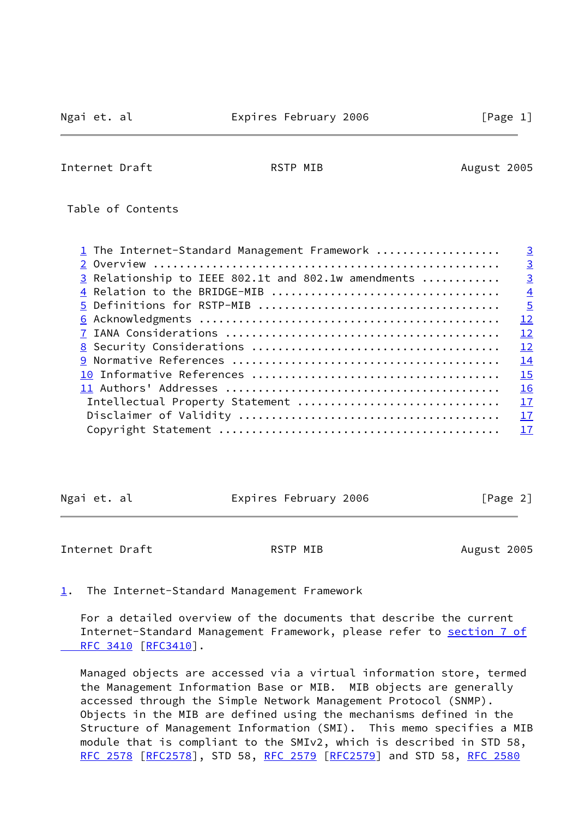Internet Draft **August 2005** RSTP MIB August 2005

Table of Contents

| 1 The Internet-Standard Management Framework        | $\overline{3}$ |
|-----------------------------------------------------|----------------|
|                                                     | $\overline{3}$ |
| 3 Relationship to IEEE 802.1t and 802.1w amendments | $\overline{3}$ |
|                                                     | $\overline{4}$ |
|                                                     | $\overline{5}$ |
|                                                     | 12             |
|                                                     | 12             |
|                                                     | 12             |
|                                                     | 14             |
|                                                     | 15             |
|                                                     | <b>16</b>      |
| Intellectual Property Statement                     | 17             |
|                                                     | 17             |
|                                                     | 17             |

| Ngai et. al<br>Expires February 2006 | [Page 2] |
|--------------------------------------|----------|
|--------------------------------------|----------|

<span id="page-1-1"></span>Internet Draft **RSTP MIB** August 2005

<span id="page-1-0"></span>[1](#page-1-0). The Internet-Standard Management Framework

 For a detailed overview of the documents that describe the current Internet-Standard Management Framework, please refer to [section](https://datatracker.ietf.org/doc/pdf/rfc3410#section-7) 7 of RFC 3410 [\[RFC3410](https://datatracker.ietf.org/doc/pdf/rfc3410)].

 Managed objects are accessed via a virtual information store, termed the Management Information Base or MIB. MIB objects are generally accessed through the Simple Network Management Protocol (SNMP). Objects in the MIB are defined using the mechanisms defined in the Structure of Management Information (SMI). This memo specifies a MIB module that is compliant to the SMIv2, which is described in STD 58, [RFC 2578](https://datatracker.ietf.org/doc/pdf/rfc2578) [\[RFC2578](https://datatracker.ietf.org/doc/pdf/rfc2578)], STD 58, [RFC 2579 \[RFC2579](https://datatracker.ietf.org/doc/pdf/rfc2579)] and STD 58, [RFC 2580](https://datatracker.ietf.org/doc/pdf/rfc2580)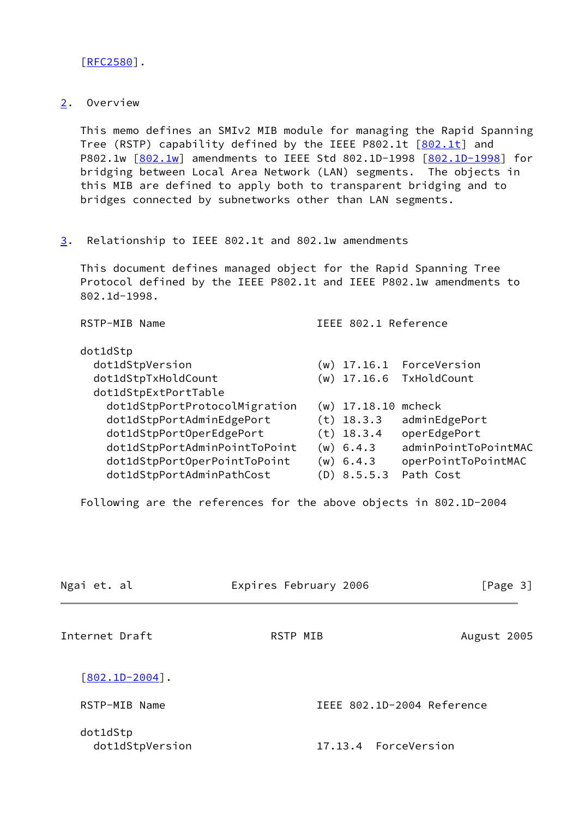[\[RFC2580](https://datatracker.ietf.org/doc/pdf/rfc2580)].

<span id="page-2-0"></span>[2](#page-2-0). Overview

 This memo defines an SMIv2 MIB module for managing the Rapid Spanning Tree (RSTP) capability defined by the IEEE P[802.1t](#page-14-2) [802.1t] and P802.1w  $[802.1w]$  $[802.1w]$  amendments to IEEE Std 802.1D-1998  $[802.1D-1998]$  $[802.1D-1998]$  for bridging between Local Area Network (LAN) segments. The objects in this MIB are defined to apply both to transparent bridging and to bridges connected by subnetworks other than LAN segments.

<span id="page-2-1"></span>[3](#page-2-1). Relationship to IEEE 802.1t and 802.1w amendments

 This document defines managed object for the Rapid Spanning Tree Protocol defined by the IEEE P802.1t and IEEE P802.1w amendments to 802.1d-1998.

| RSTP-MIB Name                 | IEEE 802.1 Reference |                          |
|-------------------------------|----------------------|--------------------------|
| dot1dStp                      |                      |                          |
| dot1dStpVersion               |                      | (w) 17.16.1 ForceVersion |
| dot1dStpTxHoldCount           |                      | (w) 17.16.6 TxHoldCount  |
| dot1dStpExtPortTable          |                      |                          |
| dot1dStpPortProtocolMigration | $(w)$ 17.18.10       | mcheck                   |
| dot1dStpPortAdminEdgePort     | $(t)$ 18.3.3         | adminEdgePort            |
| dot1dStpPortOperEdgePort      | $(t)$ 18.3.4         | operEdgePort             |
| dot1dStpPortAdminPointToPoint | $(w)$ 6.4.3          | adminPointToPointMAC     |
| dot1dStpPortOperPointToPoint  | $(w)$ 6.4.3          | operPointToPointMAC      |
| dot1dStpPortAdminPathCost     | (D) 8.5.5.3          | Path Cost                |

Following are the references for the above objects in 802.1D-2004

<span id="page-2-2"></span>

| Ngai et. al                 | Expires February 2006      | [Page 3]    |
|-----------------------------|----------------------------|-------------|
| Internet Draft              | RSTP MIB                   | August 2005 |
| $[802.1D-2004]$ .           |                            |             |
| RSTP-MIB Name               | IEEE 802.1D-2004 Reference |             |
| dot1dStp<br>dot1dStpVersion | 17.13.4 ForceVersion       |             |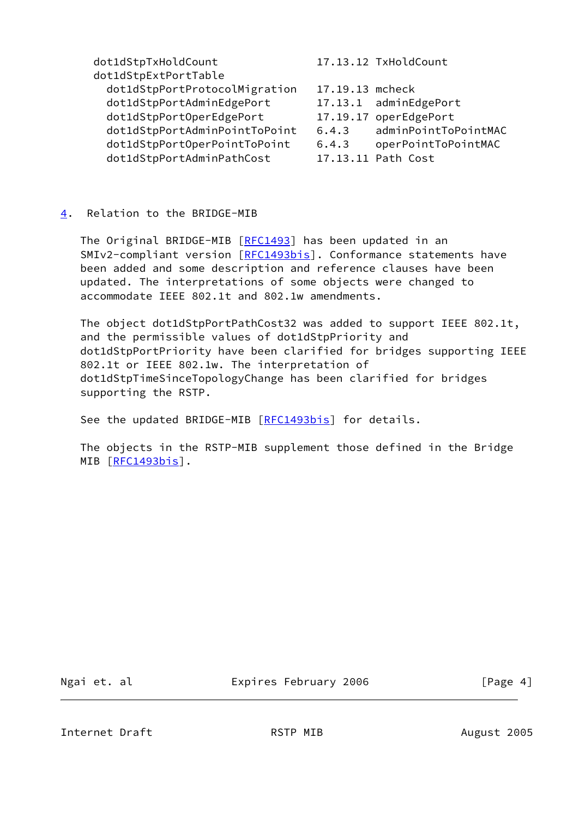dot1dStpTxHoldCount 17.13.12 TxHoldCount dot1dStpExtPortTable dot1dStpPortProtocolMigration 17.19.13 mcheck dot1dStpPortAdminEdgePort 17.13.1 adminEdgePort dot1dStpPortOperEdgePort 17.19.17 operEdgePort dot1dStpPortAdminPointToPoint 6.4.3 adminPointToPointMAC dot1dStpPortOperPointToPoint 6.4.3 operPointToPointMAC dot1dStpPortAdminPathCost 17.13.11 Path Cost

## <span id="page-3-0"></span>[4](#page-3-0). Relation to the BRIDGE-MIB

The Original BRIDGE-MIB [\[RFC1493](https://datatracker.ietf.org/doc/pdf/rfc1493)] has been updated in an SMIv2-compliant version [\[RFC1493bis\]](#page-14-5). Conformance statements have been added and some description and reference clauses have been updated. The interpretations of some objects were changed to accommodate IEEE 802.1t and 802.1w amendments.

 The object dot1dStpPortPathCost32 was added to support IEEE 802.1t, and the permissible values of dot1dStpPriority and dot1dStpPortPriority have been clarified for bridges supporting IEEE 802.1t or IEEE 802.1w. The interpretation of dot1dStpTimeSinceTopologyChange has been clarified for bridges supporting the RSTP.

See the updated BRIDGE-MIB [[RFC1493bis\]](#page-14-5) for details.

 The objects in the RSTP-MIB supplement those defined in the Bridge MIB [\[RFC1493bis\]](#page-14-5).

<span id="page-3-1"></span>

Ngai et. al **Expires February 2006** [Page 4]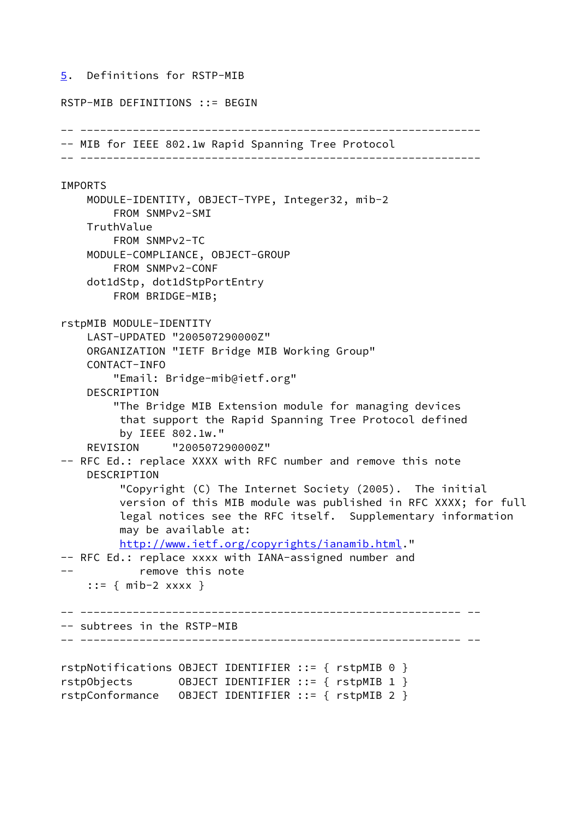### <span id="page-4-0"></span>[5](#page-4-0). Definitions for RSTP-MIB

# RSTP-MIB DEFINITIONS ::= BEGIN -- ------------------------------------------------------------- -- MIB for IEEE 802.1w Rapid Spanning Tree Protocol -- ------------------------------------------------------------- **TMPORTS**  MODULE-IDENTITY, OBJECT-TYPE, Integer32, mib-2 FROM SNMPv2-SMI **TruthValue**  FROM SNMPv2-TC MODULE-COMPLIANCE, OBJECT-GROUP FROM SNMPv2-CONF dot1dStp, dot1dStpPortEntry FROM BRIDGE-MIB; rstpMIB MODULE-IDENTITY LAST-UPDATED "200507290000Z" ORGANIZATION "IETF Bridge MIB Working Group" CONTACT-INFO "Email: Bridge-mib@ietf.org" DESCRIPTION "The Bridge MIB Extension module for managing devices that support the Rapid Spanning Tree Protocol defined by IEEE 802.1w." REVISION "200507290000Z" -- RFC Ed.: replace XXXX with RFC number and remove this note DESCRIPTION "Copyright (C) The Internet Society (2005). The initial version of this MIB module was published in RFC XXXX; for full legal notices see the RFC itself. Supplementary information may be available at: <http://www.ietf.org/copyrights/ianamib.html>." -- RFC Ed.: replace xxxx with IANA-assigned number and -- remove this note ::= { mib-2 xxxx } -- ---------------------------------------------------------- -- -- subtrees in the RSTP-MIB -- ---------------------------------------------------------- - rstpNotifications OBJECT IDENTIFIER ::= { rstpMIB 0 } rstpObjects OBJECT IDENTIFIER ::= { rstpMIB 1 } rstpConformance OBJECT IDENTIFIER ::= { rstpMIB 2 }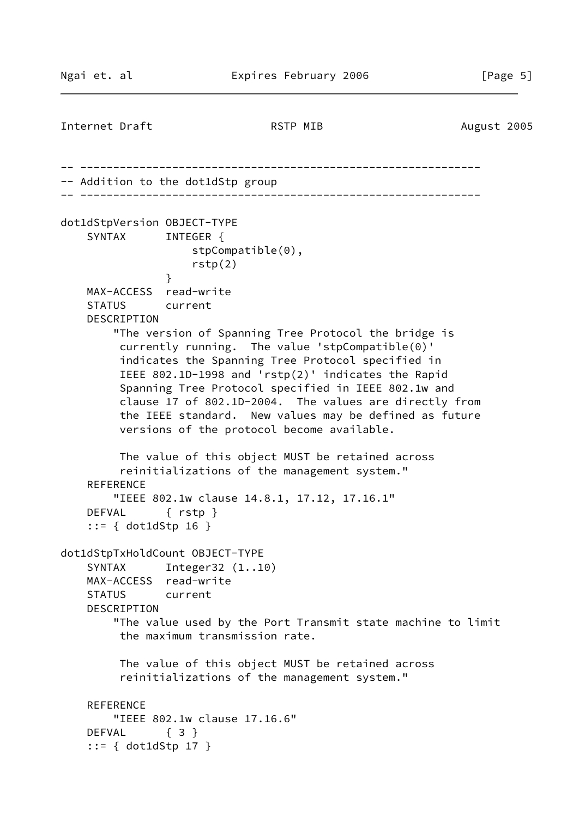Internet Draft **RSTP MIB** August 2005 -- ------------------------------------------------------------- -- Addition to the dot1dStp group -- ------------------------------------------------------------ dot1dStpVersion OBJECT-TYPE SYNTAX INTEGER { stpCompatible(0), rstp(2) } MAX-ACCESS read-write STATUS current DESCRIPTION "The version of Spanning Tree Protocol the bridge is currently running. The value 'stpCompatible(0)' indicates the Spanning Tree Protocol specified in IEEE 802.1D-1998 and 'rstp(2)' indicates the Rapid Spanning Tree Protocol specified in IEEE 802.1w and clause 17 of 802.1D-2004. The values are directly from the IEEE standard. New values may be defined as future versions of the protocol become available. The value of this object MUST be retained across reinitializations of the management system." REFERENCE "IEEE 802.1w clause 14.8.1, 17.12, 17.16.1" DEFVAL { rstp } ::= { dot1dStp 16 } dot1dStpTxHoldCount OBJECT-TYPE SYNTAX Integer32 (1..10) MAX-ACCESS read-write STATUS current DESCRIPTION "The value used by the Port Transmit state machine to limit the maximum transmission rate. The value of this object MUST be retained across reinitializations of the management system." REFERENCE "IEEE 802.1w clause 17.16.6" DEFVAL { 3 } ::= { dot1dStp 17 }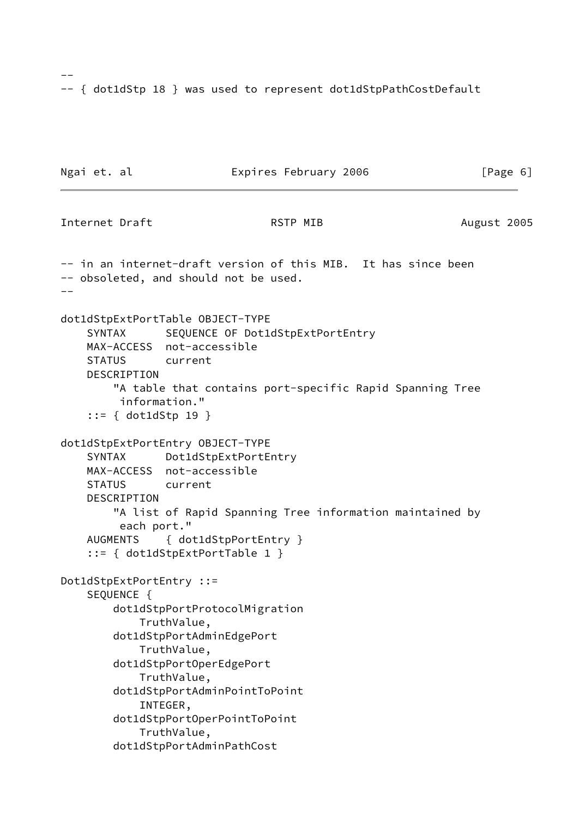-- { dot1dStp 18 } was used to represent dot1dStpPathCostDefault

```
Ngai et. al Expires February 2006 [Page 6]
Internet Draft RSTP MIB August 2005
-- in an internet-draft version of this MIB. It has since been
-- obsoleted, and should not be used.
- -dot1dStpExtPortTable OBJECT-TYPE
   SYNTAX SEQUENCE OF Dot1dStpExtPortEntry
    MAX-ACCESS not-accessible
    STATUS current
    DESCRIPTION
        "A table that contains port-specific Rapid Spanning Tree
         information."
     ::= { dot1dStp 19 }
dot1dStpExtPortEntry OBJECT-TYPE
    SYNTAX Dot1dStpExtPortEntry
    MAX-ACCESS not-accessible
    STATUS current
    DESCRIPTION
        "A list of Rapid Spanning Tree information maintained by
         each port."
    AUGMENTS { dot1dStpPortEntry }
     ::= { dot1dStpExtPortTable 1 }
Dot1dStpExtPortEntry ::=
    SEQUENCE {
        dot1dStpPortProtocolMigration
            TruthValue,
        dot1dStpPortAdminEdgePort
            TruthValue,
        dot1dStpPortOperEdgePort
            TruthValue,
        dot1dStpPortAdminPointToPoint
            INTEGER,
        dot1dStpPortOperPointToPoint
            TruthValue,
        dot1dStpPortAdminPathCost
```
 $-$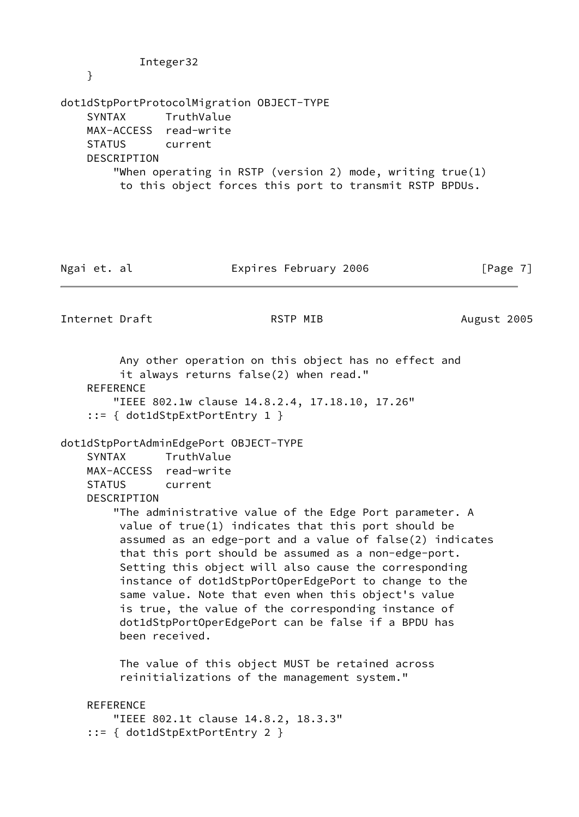dot1dStpPortProtocolMigration OBJECT-TYPE SYNTAX TruthValue MAX-ACCESS read-write STATUS current DESCRIPTION "When operating in RSTP (version 2) mode, writing true(1) to this object forces this port to transmit RSTP BPDUs.

Ngai et. al **Expires February 2006** [Page 7]

Internet Draft **RSTP MIB** August 2005

 Any other operation on this object has no effect and it always returns false(2) when read." **REFERENCE**  "IEEE 802.1w clause 14.8.2.4, 17.18.10, 17.26" ::= { dot1dStpExtPortEntry 1 }

dot1dStpPortAdminEdgePort OBJECT-TYPE

 SYNTAX TruthValue MAX-ACCESS read-write STATUS current

Integer32

DESCRIPTION

 "The administrative value of the Edge Port parameter. A value of true(1) indicates that this port should be assumed as an edge-port and a value of false(2) indicates that this port should be assumed as a non-edge-port. Setting this object will also cause the corresponding instance of dot1dStpPortOperEdgePort to change to the same value. Note that even when this object's value is true, the value of the corresponding instance of dot1dStpPortOperEdgePort can be false if a BPDU has been received.

 The value of this object MUST be retained across reinitializations of the management system."

### REFERENCE

```
 "IEEE 802.1t clause 14.8.2, 18.3.3"
 ::= { dot1dStpExtPortEntry 2 }
```
}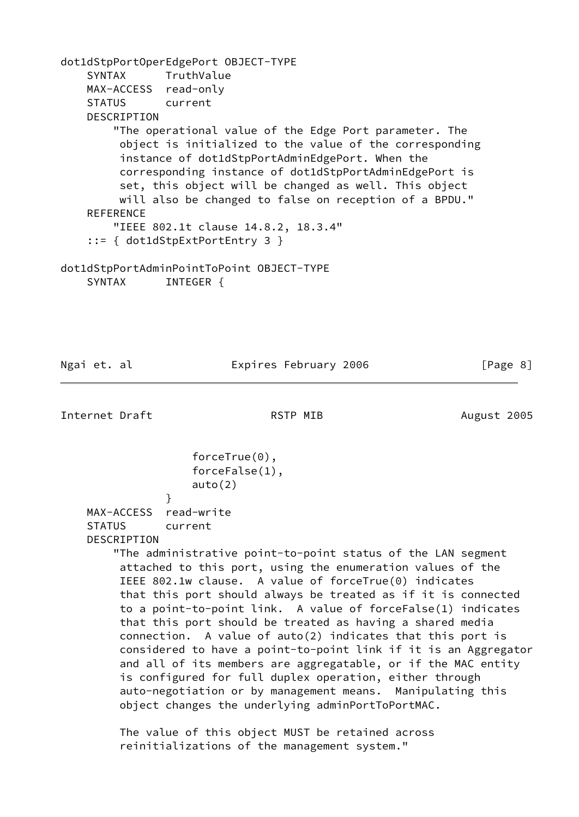dot1dStpPortOperEdgePort OBJECT-TYPE SYNTAX TruthValue MAX-ACCESS read-only STATUS current DESCRIPTION "The operational value of the Edge Port parameter. The object is initialized to the value of the corresponding instance of dot1dStpPortAdminEdgePort. When the corresponding instance of dot1dStpPortAdminEdgePort is set, this object will be changed as well. This object will also be changed to false on reception of a BPDU." REFERENCE "IEEE 802.1t clause 14.8.2, 18.3.4" ::= { dot1dStpExtPortEntry 3 } dot1dStpPortAdminPointToPoint OBJECT-TYPE

SYNTAX INTEGER {

Ngai et. al Expires February 2006 [Page 8]

Internet Draft **RSTP MIB** August 2005

 forceTrue(0), forceFalse(1), auto(2) MAX-ACCESS read-write

 STATUS current DESCRIPTION

}

 "The administrative point-to-point status of the LAN segment attached to this port, using the enumeration values of the IEEE 802.1w clause. A value of forceTrue(0) indicates that this port should always be treated as if it is connected to a point-to-point link. A value of forceFalse(1) indicates that this port should be treated as having a shared media connection. A value of auto(2) indicates that this port is considered to have a point-to-point link if it is an Aggregator and all of its members are aggregatable, or if the MAC entity is configured for full duplex operation, either through auto-negotiation or by management means. Manipulating this object changes the underlying adminPortToPortMAC.

 The value of this object MUST be retained across reinitializations of the management system."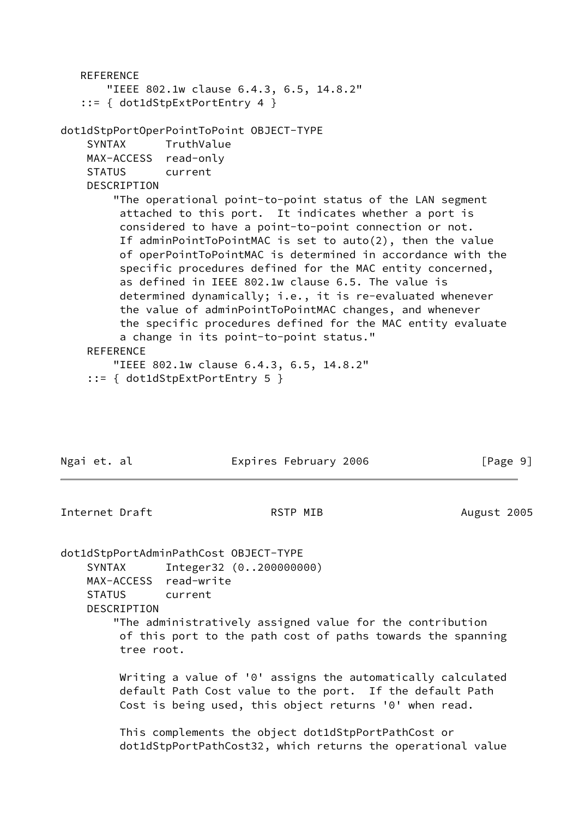```
 REFERENCE
        "IEEE 802.1w clause 6.4.3, 6.5, 14.8.2"
    ::= { dot1dStpExtPortEntry 4 }
dot1dStpPortOperPointToPoint OBJECT-TYPE
     SYNTAX TruthValue
    MAX-ACCESS read-only
    STATUS current
    DESCRIPTION
         "The operational point-to-point status of the LAN segment
          attached to this port. It indicates whether a port is
          considered to have a point-to-point connection or not.
          If adminPointToPointMAC is set to auto(2), then the value
          of operPointToPointMAC is determined in accordance with the
          specific procedures defined for the MAC entity concerned,
          as defined in IEEE 802.1w clause 6.5. The value is
          determined dynamically; i.e., it is re-evaluated whenever
          the value of adminPointToPointMAC changes, and whenever
          the specific procedures defined for the MAC entity evaluate
          a change in its point-to-point status."
     REFERENCE
         "IEEE 802.1w clause 6.4.3, 6.5, 14.8.2"
     ::= { dot1dStpExtPortEntry 5 }
```
Ngai et. al **Expires February 2006** [Page 9]

Internet Draft **RSTP MIB** August 2005

dot1dStpPortAdminPathCost OBJECT-TYPE

 SYNTAX Integer32 (0..200000000) MAX-ACCESS read-write STATUS current DESCRIPTION

 "The administratively assigned value for the contribution of this port to the path cost of paths towards the spanning tree root.

 Writing a value of '0' assigns the automatically calculated default Path Cost value to the port. If the default Path Cost is being used, this object returns '0' when read.

 This complements the object dot1dStpPortPathCost or dot1dStpPortPathCost32, which returns the operational value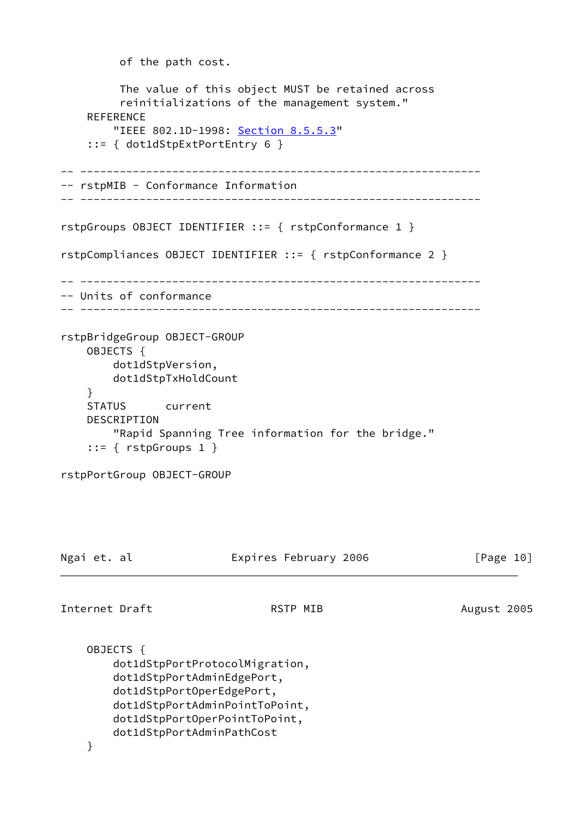```
 of the path cost.
          The value of this object MUST be retained across
          reinitializations of the management system."
    REFERENCE
        "IEEE 802.1D-1998: Section 8.5.5.3"
     ::= { dot1dStpExtPortEntry 6 }
-- -------------------------------------------------------------
-- rstpMIB - Conformance Information
-- -------------------------------------------------------------
rstpGroups OBJECT IDENTIFIER ::= { rstpConformance 1 }
rstpCompliances OBJECT IDENTIFIER ::= { rstpConformance 2 }
 -- -------------------------------------------------------------
-- Units of conformance
-- -------------------------------------------------------------
rstpBridgeGroup OBJECT-GROUP
     OBJECTS {
         dot1dStpVersion,
        dot1dStpTxHoldCount
     }
     STATUS current
     DESCRIPTION
         "Rapid Spanning Tree information for the bridge."
     ::= { rstpGroups 1 }
rstpPortGroup OBJECT-GROUP
Ngai et. al                   Expires February 2006                 [Page 10]
Internet Draft RSTP MIB August 2005
     OBJECTS {
         dot1dStpPortProtocolMigration,
         dot1dStpPortAdminEdgePort,
         dot1dStpPortOperEdgePort,
         dot1dStpPortAdminPointToPoint,
         dot1dStpPortOperPointToPoint,
         dot1dStpPortAdminPathCost
     }
```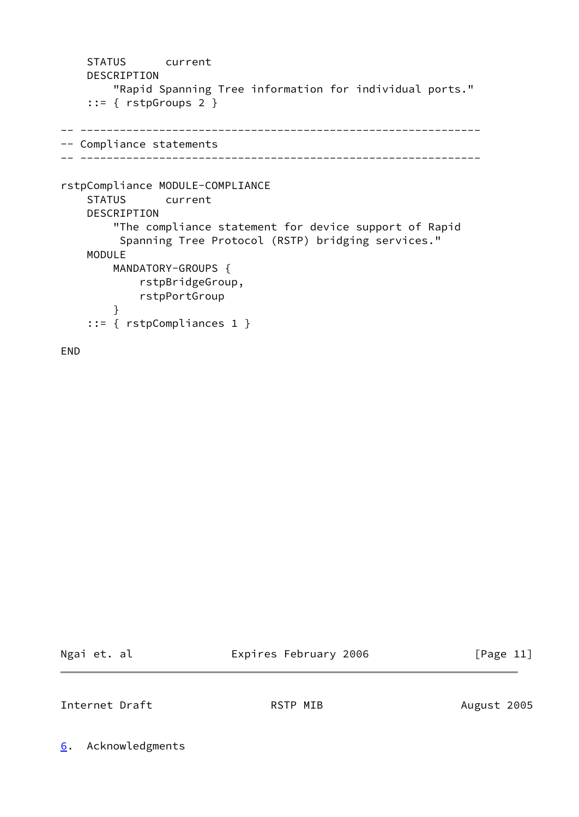```
 STATUS current
    DESCRIPTION
         "Rapid Spanning Tree information for individual ports."
     ::= { rstpGroups 2 }
-- -------------------------------------------------------------
-- Compliance statements
-- -------------------------------------------------------------
rstpCompliance MODULE-COMPLIANCE
    STATUS current
    DESCRIPTION
         "The compliance statement for device support of Rapid
          Spanning Tree Protocol (RSTP) bridging services."
    MODULE
        MANDATORY-GROUPS {
             rstpBridgeGroup,
             rstpPortGroup
         }
     ::= { rstpCompliances 1 }
```
END

Ngai et. al **Expires February 2006** [Page 11]

<span id="page-11-1"></span>Internet Draft **RSTP MIB** August 2005

<span id="page-11-0"></span>[6](#page-11-0). Acknowledgments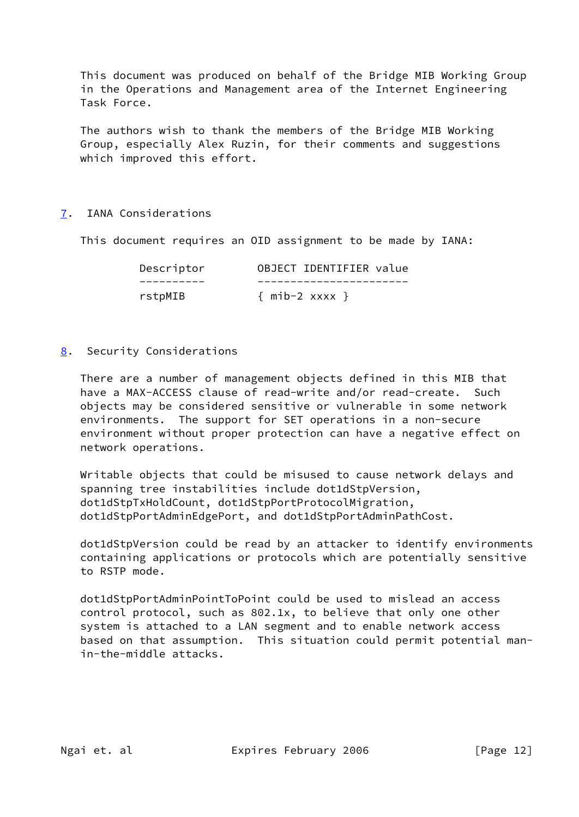This document was produced on behalf of the Bridge MIB Working Group in the Operations and Management area of the Internet Engineering Task Force.

 The authors wish to thank the members of the Bridge MIB Working Group, especially Alex Ruzin, for their comments and suggestions which improved this effort.

### <span id="page-12-0"></span>[7](#page-12-0). IANA Considerations

This document requires an OID assignment to be made by IANA:

| Descriptor | OBJECT IDENTIFIER value |
|------------|-------------------------|
|            |                         |
| rstpMIB    | $\{$ mib-2 xxxx $\}$    |

<span id="page-12-1"></span>[8](#page-12-1). Security Considerations

 There are a number of management objects defined in this MIB that have a MAX-ACCESS clause of read-write and/or read-create. Such objects may be considered sensitive or vulnerable in some network environments. The support for SET operations in a non-secure environment without proper protection can have a negative effect on network operations.

 Writable objects that could be misused to cause network delays and spanning tree instabilities include dot1dStpVersion, dot1dStpTxHoldCount, dot1dStpPortProtocolMigration, dot1dStpPortAdminEdgePort, and dot1dStpPortAdminPathCost.

 dot1dStpVersion could be read by an attacker to identify environments containing applications or protocols which are potentially sensitive to RSTP mode.

 dot1dStpPortAdminPointToPoint could be used to mislead an access control protocol, such as 802.1x, to believe that only one other system is attached to a LAN segment and to enable network access based on that assumption. This situation could permit potential man in-the-middle attacks.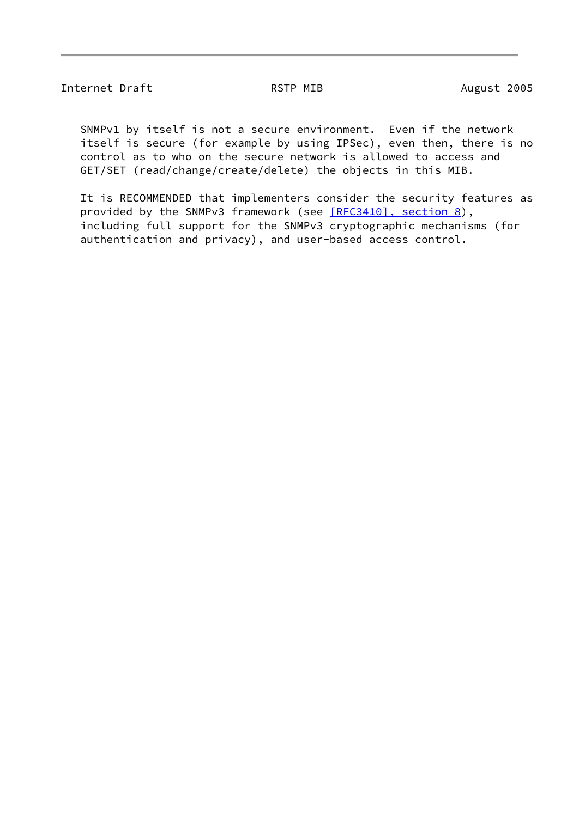### Internet Draft **RSTP MIB** August 2005

 SNMPv1 by itself is not a secure environment. Even if the network itself is secure (for example by using IPSec), even then, there is no control as to who on the secure network is allowed to access and GET/SET (read/change/create/delete) the objects in this MIB.

 It is RECOMMENDED that implementers consider the security features as provided by the SNMPv3 framework (see [\[RFC3410\], section](https://datatracker.ietf.org/doc/pdf/rfc3410#section-8) 8), including full support for the SNMPv3 cryptographic mechanisms (for authentication and privacy), and user-based access control.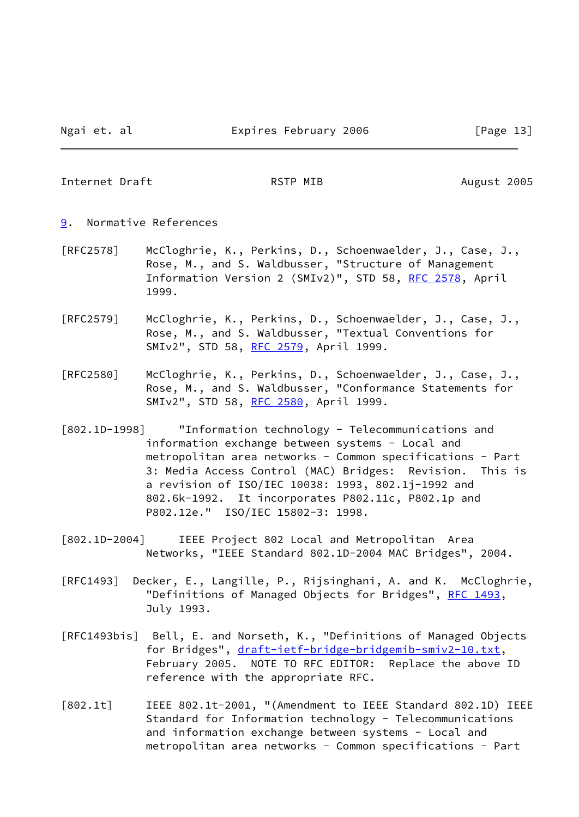<span id="page-14-1"></span>Internet Draft **RSTP MIB** August 2005

- <span id="page-14-0"></span>[9](#page-14-0). Normative References
- [RFC2578] McCloghrie, K., Perkins, D., Schoenwaelder, J., Case, J., Rose, M., and S. Waldbusser, "Structure of Management Information Version 2 (SMIv2)", STD 58, [RFC 2578](https://datatracker.ietf.org/doc/pdf/rfc2578), April 1999.
- [RFC2579] McCloghrie, K., Perkins, D., Schoenwaelder, J., Case, J., Rose, M., and S. Waldbusser, "Textual Conventions for SMIv2", STD 58, [RFC 2579](https://datatracker.ietf.org/doc/pdf/rfc2579), April 1999.
- [RFC2580] McCloghrie, K., Perkins, D., Schoenwaelder, J., Case, J., Rose, M., and S. Waldbusser, "Conformance Statements for SMIv2", STD 58, [RFC 2580](https://datatracker.ietf.org/doc/pdf/rfc2580), April 1999.
- <span id="page-14-3"></span>[802.1D-1998] "Information technology - Telecommunications and information exchange between systems - Local and metropolitan area networks - Common specifications - Part 3: Media Access Control (MAC) Bridges: Revision. This is a revision of ISO/IEC 10038: 1993, 802.1j-1992 and 802.6k-1992. It incorporates P802.11c, P802.1p and P802.12e." ISO/IEC 15802-3: 1998.
- <span id="page-14-4"></span>[802.1D-2004] IEEE Project 802 Local and Metropolitan Area Networks, "IEEE Standard 802.1D-2004 MAC Bridges", 2004.
- [RFC1493] Decker, E., Langille, P., Rijsinghani, A. and K. McCloghrie, "Definitions of Managed Objects for Bridges", [RFC 1493](https://datatracker.ietf.org/doc/pdf/rfc1493), July 1993.
- <span id="page-14-5"></span>[RFC1493bis] Bell, E. and Norseth, K., "Definitions of Managed Objects for Bridges", [draft-ietf-bridge-bridgemib-smiv2-10.txt](https://datatracker.ietf.org/doc/pdf/draft-ietf-bridge-bridgemib-smiv2-10.txt), February 2005. NOTE TO RFC EDITOR: Replace the above ID reference with the appropriate RFC.
- <span id="page-14-2"></span>[802.1t] IEEE 802.1t-2001, "(Amendment to IEEE Standard 802.1D) IEEE Standard for Information technology - Telecommunications and information exchange between systems - Local and metropolitan area networks - Common specifications - Part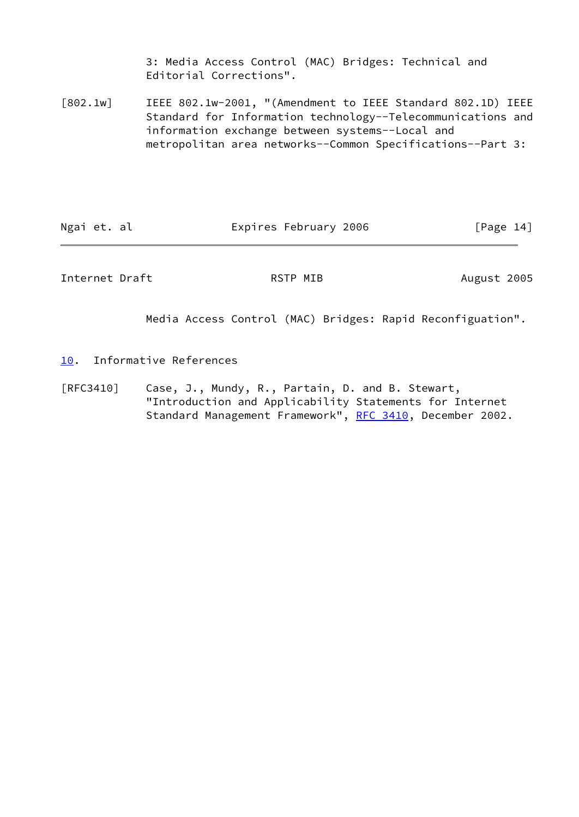3: Media Access Control (MAC) Bridges: Technical and Editorial Corrections".

<span id="page-15-2"></span>[802.1w] IEEE 802.1w-2001, "(Amendment to IEEE Standard 802.1D) IEEE Standard for Information technology--Telecommunications and information exchange between systems--Local and metropolitan area networks--Common Specifications--Part 3:

| Ngai et. al<br>Expires February 2006 | [Page 14] |
|--------------------------------------|-----------|
|--------------------------------------|-----------|

<span id="page-15-1"></span>Internet Draft **August 2005** RSTP MIB August 2005

Media Access Control (MAC) Bridges: Rapid Reconfiguation".

- <span id="page-15-0"></span>[10.](#page-15-0) Informative References
- [RFC3410] Case, J., Mundy, R., Partain, D. and B. Stewart, "Introduction and Applicability Statements for Internet Standard Management Framework", [RFC 3410](https://datatracker.ietf.org/doc/pdf/rfc3410), December 2002.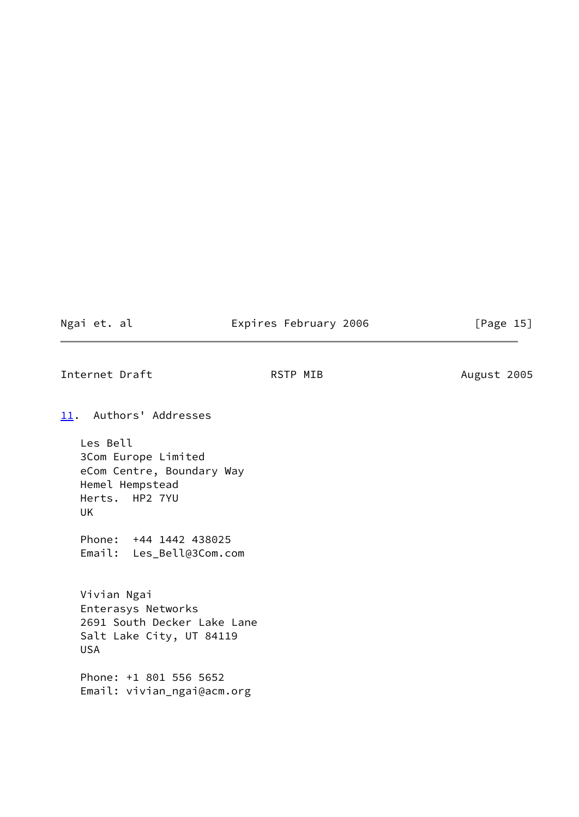Ngai et. al **Expires February 2006** [Page 15]

<span id="page-16-1"></span>Internet Draft **August 2005** RSTP MIB August 2005

<span id="page-16-0"></span>[11.](#page-16-0) Authors' Addresses

 Les Bell 3Com Europe Limited eCom Centre, Boundary Way Hemel Hempstead Herts. HP2 7YU UK

 Phone: +44 1442 438025 Email: Les\_Bell@3Com.com

 Vivian Ngai Enterasys Networks 2691 South Decker Lake Lane Salt Lake City, UT 84119 USA

 Phone: +1 801 556 5652 Email: vivian\_ngai@acm.org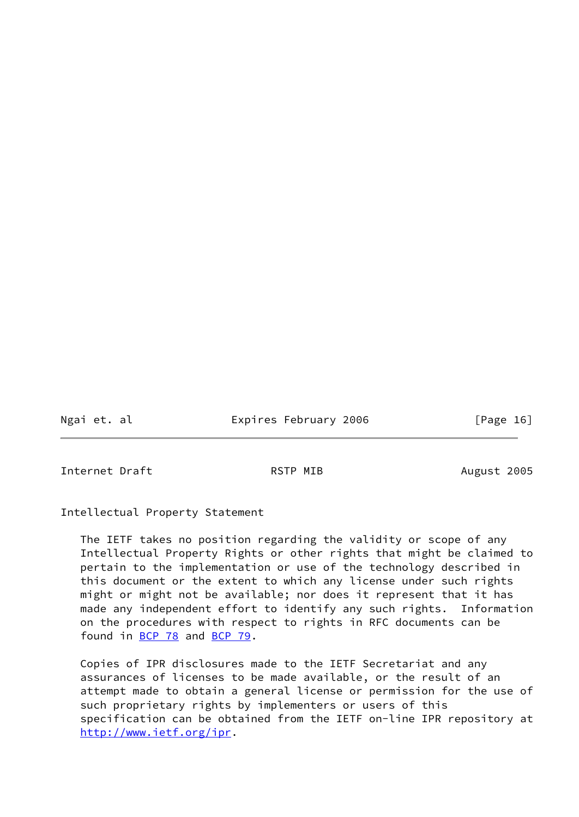Ngai et. al Expires February 2006 [Page 16]

<span id="page-17-0"></span>Internet Draft **RSTP MIB** August 2005

Intellectual Property Statement

 The IETF takes no position regarding the validity or scope of any Intellectual Property Rights or other rights that might be claimed to pertain to the implementation or use of the technology described in this document or the extent to which any license under such rights might or might not be available; nor does it represent that it has made any independent effort to identify any such rights. Information on the procedures with respect to rights in RFC documents can be found in [BCP 78](https://datatracker.ietf.org/doc/pdf/bcp78) and [BCP 79](https://datatracker.ietf.org/doc/pdf/bcp79).

 Copies of IPR disclosures made to the IETF Secretariat and any assurances of licenses to be made available, or the result of an attempt made to obtain a general license or permission for the use of such proprietary rights by implementers or users of this specification can be obtained from the IETF on-line IPR repository at <http://www.ietf.org/ipr>.